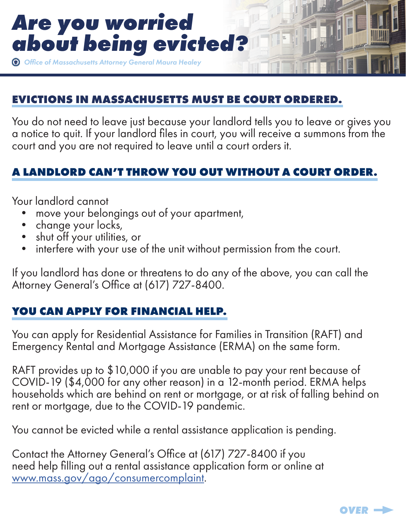### **EVICTIONS IN MASSACHUSETTS MUST BE COURT ORDERED.**

You do not need to leave just because your landlord tells you to leave or gives you a notice to quit. If your landlord files in court, you will receive a summons from the court and you are not required to leave until a court orders it.

## **A LANDLORD CAN'T THROW YOU OUT WITHOUT A COURT ORDER.**

Your landlord cannot

- move your belongings out of your apartment,
- change your locks,
- shut off your utilities, or
- interfere with your use of the unit without permission from the court.

If you landlord has done or threatens to do any of the above, you can call the Attorney General's Office at (617) 727-8400.

#### **YOU CAN APPLY FOR FINANCIAL HELP.**

You can apply for Residential Assistance for Families in Transition (RAFT) and Emergency Rental and Mortgage Assistance (ERMA) on the same form.

RAFT provides up to \$10,000 if you are unable to pay your rent because of COVID-19 (\$4,000 for any other reason) in a 12-month period. ERMA helps households which are behind on rent or mortgage, or at risk of falling behind on rent or mortgage, due to the COVID-19 pandemic.

You cannot be evicted while a rental assistance application is pending.

Contact the Attorney General's Office at (617) 727-8400 if you need help filling out a rental assistance application form or online at [www.mass.gov/ago/consumercomplaint.](https://www.mass.gov/how-to/file-a-consumer-complaint)